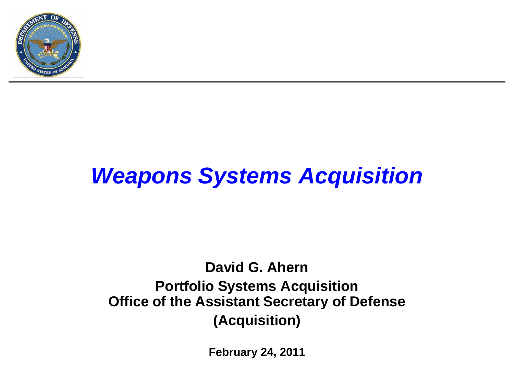

## *Weapons Systems Acquisition*

#### **David G. Ahern Portfolio Systems Acquisition Office of the Assistant Secretary of Defense (Acquisition)**

**February 24, 2011**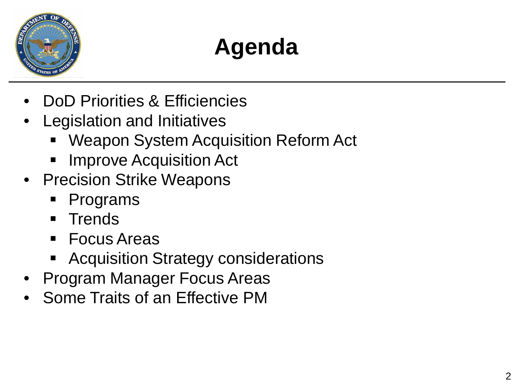

# **Agenda**

- DoD Priorities & Efficiencies
- Legislation and Initiatives
	- Weapon System Acquisition Reform Act
	- Improve Acquisition Act
- Precision Strike Weapons
	- Programs
	- **Trends**
	- Focus Areas
	- Acquisition Strategy considerations
- Program Manager Focus Areas
- Some Traits of an Effective PM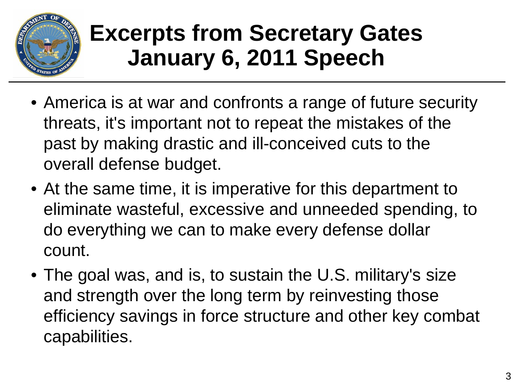

## **Excerpts from Secretary Gates January 6, 2011 Speech**

- America is at war and confronts a range of future security threats, it's important not to repeat the mistakes of the past by making drastic and ill-conceived cuts to the overall defense budget.
- At the same time, it is imperative for this department to eliminate wasteful, excessive and unneeded spending, to do everything we can to make every defense dollar count.
- The goal was, and is, to sustain the U.S. military's size and strength over the long term by reinvesting those efficiency savings in force structure and other key combat capabilities.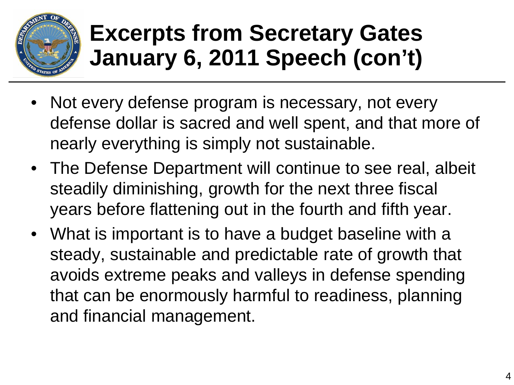

## **Excerpts from Secretary Gates January 6, 2011 Speech (con't)**

- Not every defense program is necessary, not every defense dollar is sacred and well spent, and that more of nearly everything is simply not sustainable.
- The Defense Department will continue to see real, albeit steadily diminishing, growth for the next three fiscal years before flattening out in the fourth and fifth year.
- What is important is to have a budget baseline with a steady, sustainable and predictable rate of growth that avoids extreme peaks and valleys in defense spending that can be enormously harmful to readiness, planning and financial management.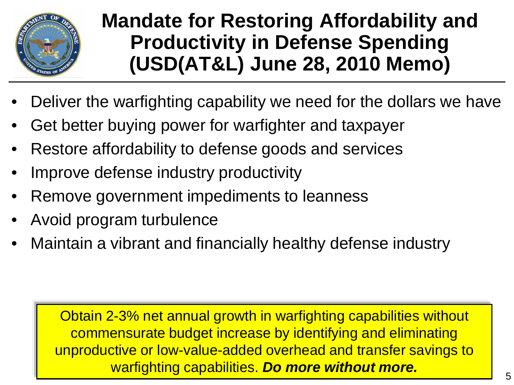

#### **Mandate for Restoring Affordability and Productivity in Defense Spending (USD(AT&L) June 28, 2010 Memo)**

- Deliver the warfighting capability we need for the dollars we have
- Get better buying power for warfighter and taxpayer
- Restore affordability to defense goods and services
- Improve defense industry productivity
- Remove government impediments to leanness
- Avoid program turbulence
- Maintain a vibrant and financially healthy defense industry

Obtain 2-3% net annual growth in warfighting capabilities without commensurate budget increase by identifying and eliminating unproductive or low-value-added overhead and transfer savings to warfighting capabilities. *Do more without more.*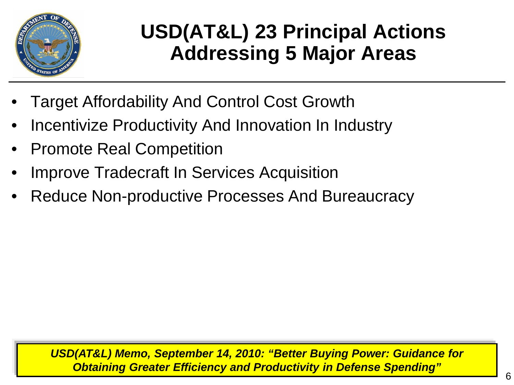

### **USD(AT&L) 23 Principal Actions Addressing 5 Major Areas**

- Target Affordability And Control Cost Growth
- Incentivize Productivity And Innovation In Industry
- Promote Real Competition
- Improve Tradecraft In Services Acquisition
- Reduce Non-productive Processes And Bureaucracy

*USD(AT&L) Memo, September 14, 2010: "Better Buying Power: Guidance for Obtaining Greater Efficiency and Productivity in Defense Spending"*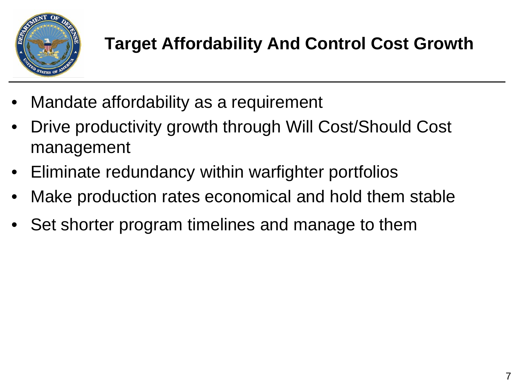

- Mandate affordability as a requirement
- Drive productivity growth through Will Cost/Should Cost management
- Eliminate redundancy within warfighter portfolios
- Make production rates economical and hold them stable
- Set shorter program timelines and manage to them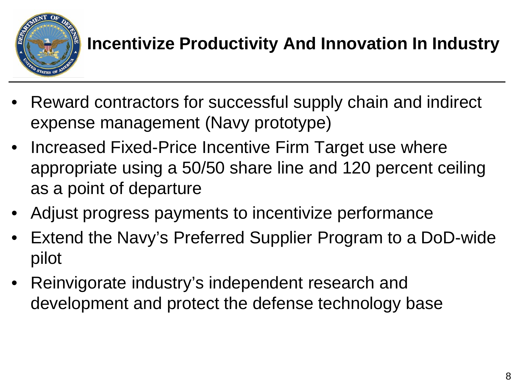

#### **Incentivize Productivity And Innovation In Industry**

- Reward contractors for successful supply chain and indirect expense management (Navy prototype)
- Increased Fixed-Price Incentive Firm Target use where appropriate using a 50/50 share line and 120 percent ceiling as a point of departure
- Adjust progress payments to incentivize performance
- Extend the Navy's Preferred Supplier Program to a DoD-wide pilot
- Reinvigorate industry's independent research and development and protect the defense technology base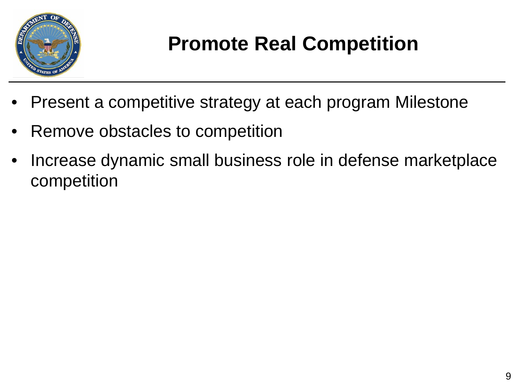

### **Promote Real Competition**

- Present a competitive strategy at each program Milestone
- Remove obstacles to competition
- Increase dynamic small business role in defense marketplace competition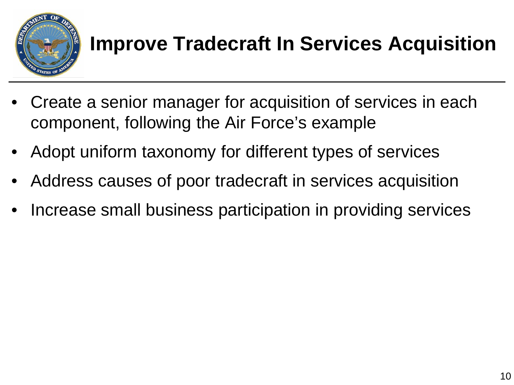

### **Improve Tradecraft In Services Acquisition**

- Create a senior manager for acquisition of services in each component, following the Air Force's example
- Adopt uniform taxonomy for different types of services
- Address causes of poor tradecraft in services acquisition
- Increase small business participation in providing services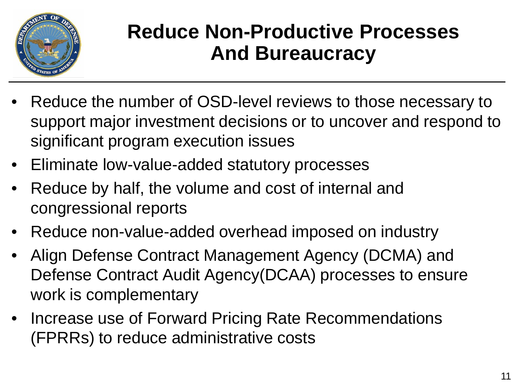

#### **Reduce Non-Productive Processes And Bureaucracy**

- Reduce the number of OSD-level reviews to those necessary to support major investment decisions or to uncover and respond to significant program execution issues
- Eliminate low-value-added statutory processes
- Reduce by half, the volume and cost of internal and congressional reports
- Reduce non-value-added overhead imposed on industry
- Align Defense Contract Management Agency (DCMA) and Defense Contract Audit Agency(DCAA) processes to ensure work is complementary
- Increase use of Forward Pricing Rate Recommendations (FPRRs) to reduce administrative costs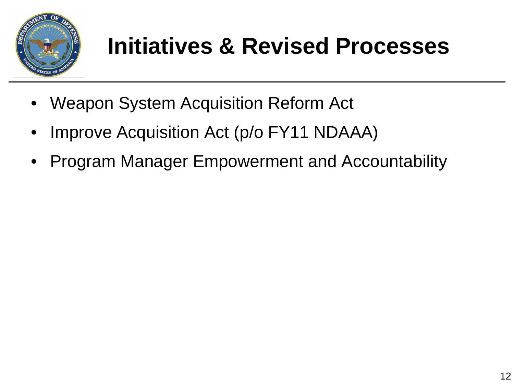

## **Initiatives & Revised Processes**

- Weapon System Acquisition Reform Act
- Improve Acquisition Act (p/o FY11 NDAAA)
- Program Manager Empowerment and Accountability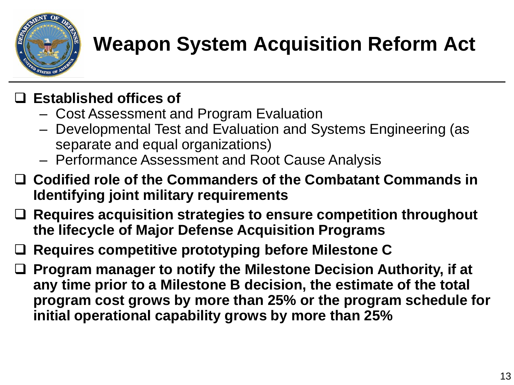

### **Weapon System Acquisition Reform Act**

#### **Established offices of**

- Cost Assessment and Program Evaluation
- Developmental Test and Evaluation and Systems Engineering (as separate and equal organizations)
- Performance Assessment and Root Cause Analysis
- **Codified role of the Commanders of the Combatant Commands in Identifying joint military requirements**
- **Requires acquisition strategies to ensure competition throughout the lifecycle of Major Defense Acquisition Programs**
- **Requires competitive prototyping before Milestone C**
- **Program manager to notify the Milestone Decision Authority, if at any time prior to a Milestone B decision, the estimate of the total program cost grows by more than 25% or the program schedule for initial operational capability grows by more than 25%**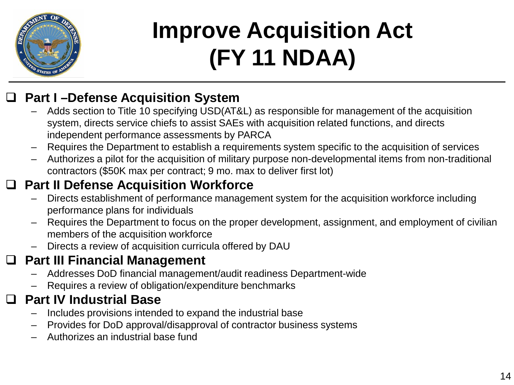

# **Improve Acquisition Act (FY 11 NDAA)**

#### **Part I –Defense Acquisition System**

- Adds section to Title 10 specifying USD(AT&L) as responsible for management of the acquisition system, directs service chiefs to assist SAEs with acquisition related functions, and directs independent performance assessments by PARCA
- Requires the Department to establish a requirements system specific to the acquisition of services
- Authorizes a pilot for the acquisition of military purpose non-developmental items from non-traditional contractors (\$50K max per contract; 9 mo. max to deliver first lot)

#### **Part II Defense Acquisition Workforce**

- Directs establishment of performance management system for the acquisition workforce including performance plans for individuals
- Requires the Department to focus on the proper development, assignment, and employment of civilian members of the acquisition workforce
- Directs a review of acquisition curricula offered by DAU

#### **Part III Financial Management**

- Addresses DoD financial management/audit readiness Department-wide
- Requires a review of obligation/expenditure benchmarks

#### **Part IV Industrial Base**

- Includes provisions intended to expand the industrial base
- Provides for DoD approval/disapproval of contractor business systems
- Authorizes an industrial base fund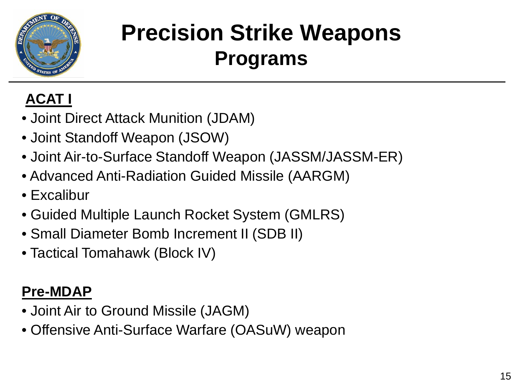

## **Precision Strike Weapons Programs**

#### **ACAT I**

- Joint Direct Attack Munition (JDAM)
- Joint Standoff Weapon (JSOW)
- Joint Air-to-Surface Standoff Weapon (JASSM/JASSM-ER)
- Advanced Anti-Radiation Guided Missile (AARGM)
- Excalibur
- Guided Multiple Launch Rocket System (GMLRS)
- Small Diameter Bomb Increment II (SDB II)
- Tactical Tomahawk (Block IV)

#### **Pre-MDAP**

- Joint Air to Ground Missile (JAGM)
- Offensive Anti-Surface Warfare (OASuW) weapon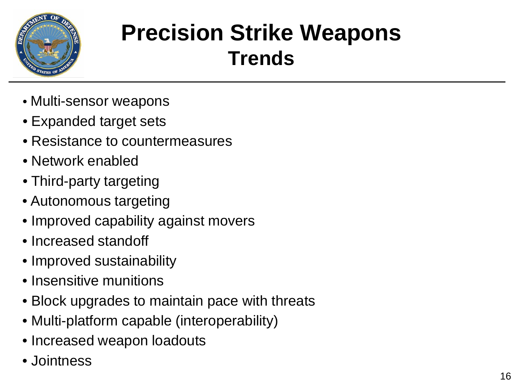

### **Precision Strike Weapons Trends**

- Multi-sensor weapons
- Expanded target sets
- Resistance to countermeasures
- Network enabled
- Third-party targeting
- Autonomous targeting
- Improved capability against movers
- Increased standoff
- Improved sustainability
- Insensitive munitions
- Block upgrades to maintain pace with threats
- Multi-platform capable (interoperability)
- Increased weapon loadouts
- Jointness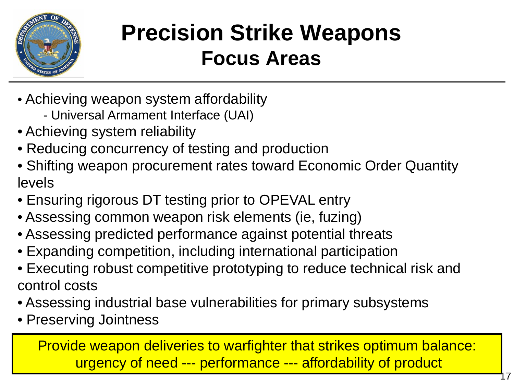

### **Precision Strike Weapons Focus Areas**

- Achieving weapon system affordability
	- Universal Armament Interface (UAI)
- Achieving system reliability
- Reducing concurrency of testing and production
- Shifting weapon procurement rates toward Economic Order Quantity levels
- Ensuring rigorous DT testing prior to OPEVAL entry
- Assessing common weapon risk elements (ie, fuzing)
- Assessing predicted performance against potential threats
- Expanding competition, including international participation
- Executing robust competitive prototyping to reduce technical risk and control costs
- Assessing industrial base vulnerabilities for primary subsystems
- Preserving Jointness

Provide weapon deliveries to warfighter that strikes optimum balance: urgency of need --- performance --- affordability of product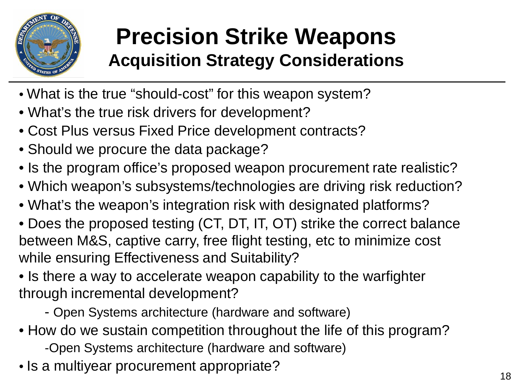

### **Precision Strike Weapons Acquisition Strategy Considerations**

- What is the true "should-cost" for this weapon system?
- What's the true risk drivers for development?
- Cost Plus versus Fixed Price development contracts?
- Should we procure the data package?
- Is the program office's proposed weapon procurement rate realistic?
- Which weapon's subsystems/technologies are driving risk reduction?
- What's the weapon's integration risk with designated platforms?
- Does the proposed testing (CT, DT, IT, OT) strike the correct balance between M&S, captive carry, free flight testing, etc to minimize cost while ensuring Effectiveness and Suitability?
- Is there a way to accelerate weapon capability to the warfighter through incremental development?
	- Open Systems architecture (hardware and software)
- How do we sustain competition throughout the life of this program?
	- -Open Systems architecture (hardware and software)
- Is a multiyear procurement appropriate?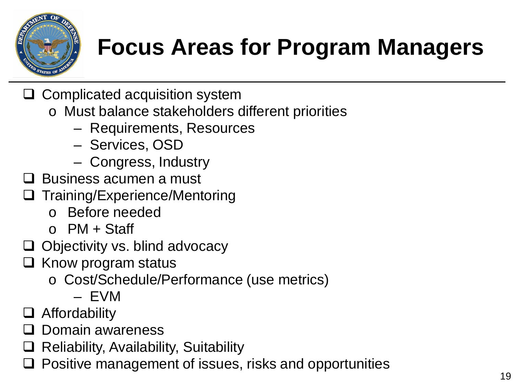

## **Focus Areas for Program Managers**

- $\Box$  Complicated acquisition system
	- o Must balance stakeholders different priorities
		- Requirements, Resources
		- Services, OSD
		- Congress, Industry
- $\square$  Business acumen a must
- Training/Experience/Mentoring
	- o Before needed
	- $O$  PM + Staff
- $\Box$  Objectivity vs. blind advocacy
- $\Box$  Know program status
	- o Cost/Schedule/Performance (use metrics)
		- EVM
- Affordability
- Domain awareness
- $\Box$  Reliability, Availability, Suitability
- Positive management of issues, risks and opportunities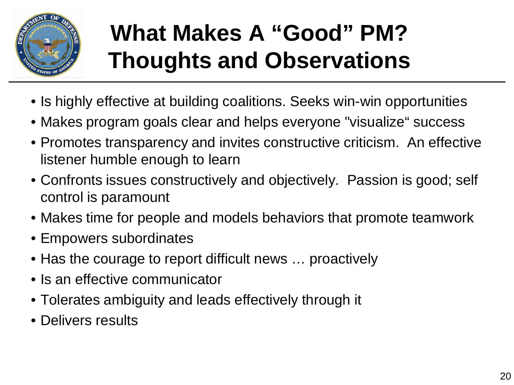

# **What Makes A "Good" PM? Thoughts and Observations**

- Is highly effective at building coalitions. Seeks win-win opportunities
- Makes program goals clear and helps everyone "visualize" success
- Promotes transparency and invites constructive criticism. An effective listener humble enough to learn
- Confronts issues constructively and objectively. Passion is good; self control is paramount
- Makes time for people and models behaviors that promote teamwork
- Empowers subordinates
- Has the courage to report difficult news ... proactively
- Is an effective communicator
- Tolerates ambiguity and leads effectively through it
- Delivers results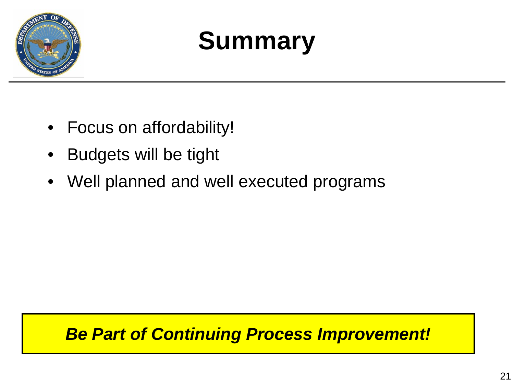

# **Summary**

- Focus on affordability!
- Budgets will be tight
- Well planned and well executed programs

#### *Be Part of Continuing Process Improvement!*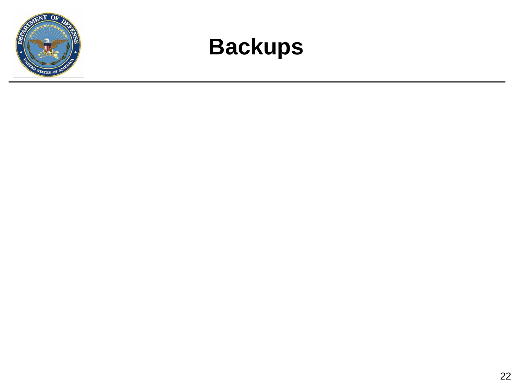

### **Backups**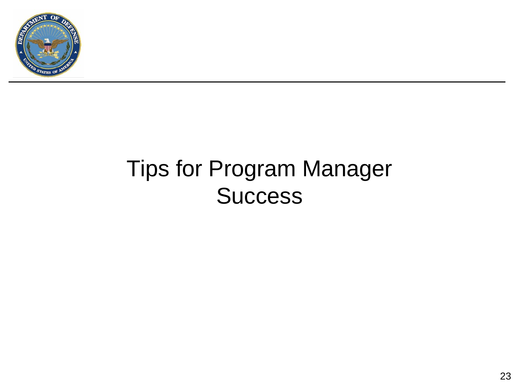

## Tips for Program Manager **Success**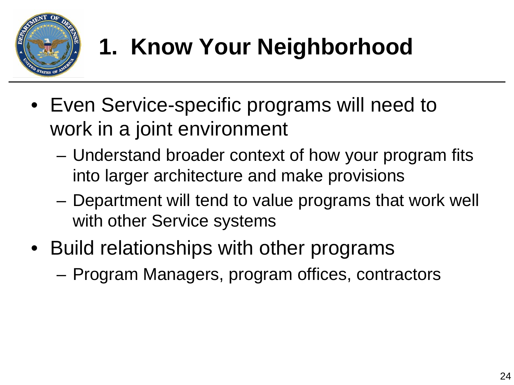

# **1. Know Your Neighborhood**

- Even Service-specific programs will need to work in a joint environment
	- Understand broader context of how your program fits into larger architecture and make provisions
	- Department will tend to value programs that work well with other Service systems
- Build relationships with other programs
	- Program Managers, program offices, contractors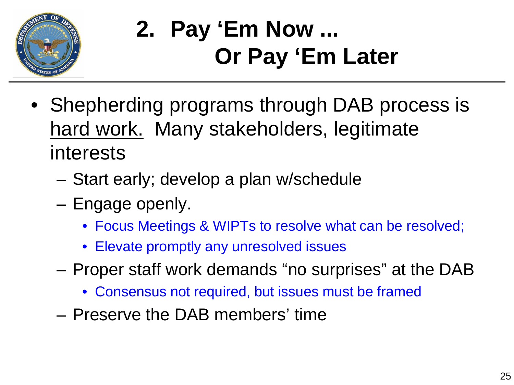

# **2. Pay 'Em Now ... Or Pay 'Em Later**

- Shepherding programs through DAB process is hard work. Many stakeholders, legitimate interests
	- Start early; develop a plan w/schedule
	- Engage openly.
		- Focus Meetings & WIPTs to resolve what can be resolved;
		- Elevate promptly any unresolved issues
	- Proper staff work demands "no surprises" at the DAB
		- Consensus not required, but issues must be framed
	- Preserve the DAB members' time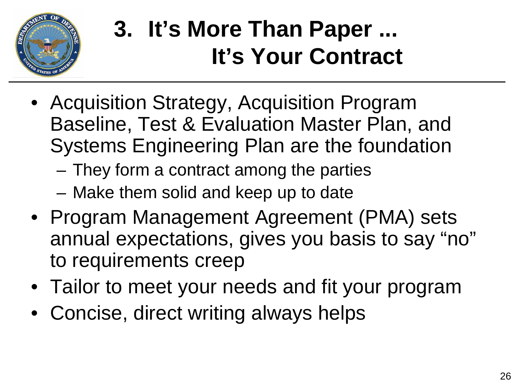

# **3. It's More Than Paper ... It's Your Contract**

- Acquisition Strategy, Acquisition Program Baseline, Test & Evaluation Master Plan, and Systems Engineering Plan are the foundation
	- They form a contract among the parties
	- Make them solid and keep up to date
- Program Management Agreement (PMA) sets annual expectations, gives you basis to say "no" to requirements creep
- Tailor to meet your needs and fit your program
- Concise, direct writing always helps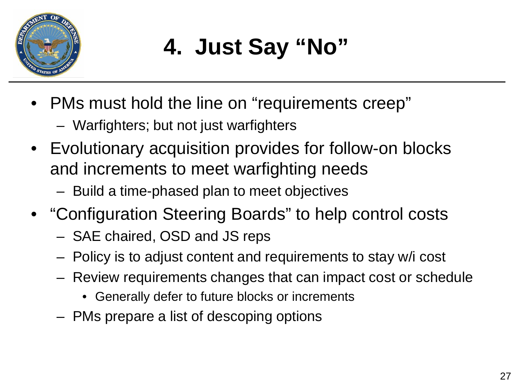

- PMs must hold the line on "requirements creep"
	- Warfighters; but not just warfighters
- Evolutionary acquisition provides for follow-on blocks and increments to meet warfighting needs
	- Build a time-phased plan to meet objectives
- "Configuration Steering Boards" to help control costs
	- SAE chaired, OSD and JS reps
	- Policy is to adjust content and requirements to stay w/i cost
	- Review requirements changes that can impact cost or schedule
		- Generally defer to future blocks or increments
	- PMs prepare a list of descoping options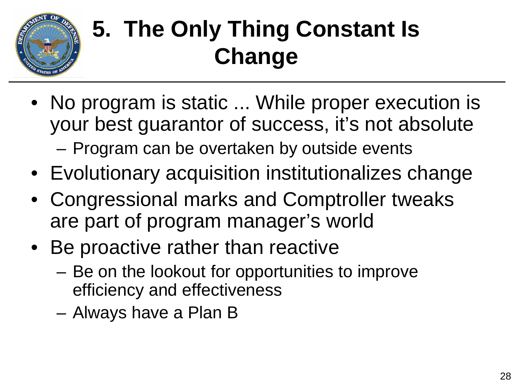

# **5. The Only Thing Constant Is Change**

- No program is static ... While proper execution is your best guarantor of success, it's not absolute – Program can be overtaken by outside events
- Evolutionary acquisition institutionalizes change
- Congressional marks and Comptroller tweaks are part of program manager's world
- Be proactive rather than reactive
	- Be on the lookout for opportunities to improve efficiency and effectiveness
	- Always have a Plan B